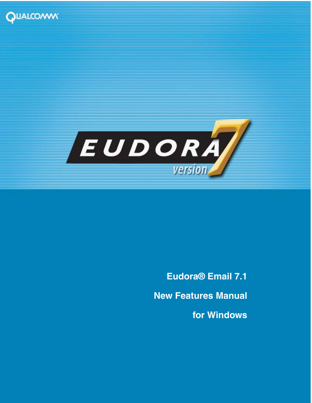



**Eudora® Email 7.1 New Features Manual for Windows**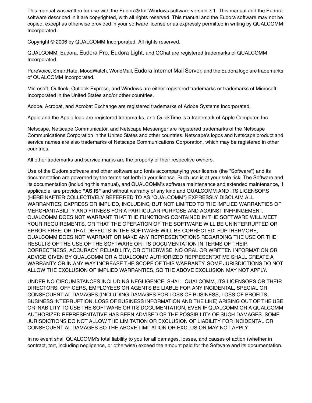This manual was written for use with the Eudora® for Windows software version 7.1. This manual and the Eudora software described in it are copyrighted, with all rights reserved. This manual and the Eudora software may not be copied, except as otherwise provided in your software license or as expressly permitted in writing by QUALCOMM Incorporated.

Copyright © 2006 by QUALCOMM Incorporated. All rights reserved.

QUALCOMM, Eudora, Eudora Pro, Eudora Light, and QChat are registered trademarks of QUALCOMM Incorporated.

PureVoice, SmartRate, MoodWatch, WorldMail, Eudora Internet Mail Server, and the Eudora logo are trademarks of QUALCOMM Incorporated.

Microsoft, Outlook, Outlook Express, and Windows are either registered trademarks or trademarks of Microsoft Incorporated in the United States and/or other countries.

Adobe, Acrobat, and Acrobat Exchange are registered trademarks of Adobe Systems Incorporated.

Apple and the Apple logo are registered trademarks, and QuickTime is a trademark of Apple Computer, Inc.

Netscape, Netscape Communicator, and Netscape Messenger are registered trademarks of the Netscape Communications Corporation in the United States and other countries. Netscape's logos and Netscape product and service names are also trademarks of Netscape Communications Corporation, which may be registered in other countries.

All other trademarks and service marks are the property of their respective owners.

Use of the Eudora software and other software and fonts accompanying your license (the "Software") and its documentation are governed by the terms set forth in your license. Such use is at your sole risk. The Software and its documentation (including this manual), and QUALCOMM's software maintenance and extended maintenance, if applicable, are provided **"AS IS"** and without warranty of any kind and QUALCOMM AND ITS LICENSORS (HEREINAFTER COLLECTIVELY REFERRED TO AS "QUALCOMM") EXPRESSLY DISCLAIM ALL WARRANTIES, EXPRESS OR IMPLIED, INCLUDING, BUT NOT LIMITED TO THE IMPLIED WARRANTIES OF MERCHANTABILITY AND FITNESS FOR A PARTICULAR PURPOSE AND AGAINST INFRINGEMENT. QUALCOMM DOES NOT WARRANT THAT THE FUNCTIONS CONTAINED IN THE SOFTWARE WILL MEET YOUR REQUIREMENTS, OR THAT THE OPERATION OF THE SOFTWARE WILL BE UNINTERRUPTED OR ERROR-FREE, OR THAT DEFECTS IN THE SOFTWARE WILL BE CORRECTED. FURTHERMORE, QUALCOMM DOES NOT WARRANT OR MAKE ANY REPRESENTATIONS REGARDING THE USE OR THE RESULTS OF THE USE OF THE SOFTWARE OR ITS DOCUMENTATION IN TERMS OF THEIR CORRECTNESS, ACCURACY, RELIABILITY, OR OTHERWISE. NO ORAL OR WRITTEN INFORMATION OR ADVICE GIVEN BY QUALCOMM OR A QUALCOMM AUTHORIZED REPRESENTATIVE SHALL CREATE A WARRANTY OR IN ANY WAY INCREASE THE SCOPE OF THIS WARRANTY. SOME JURISDICTIONS DO NOT ALLOW THE EXCLUSION OF IMPLIED WARRANTIES, SO THE ABOVE EXCLUSION MAY NOT APPLY.

UNDER NO CIRCUMSTANCES INCLUDING NEGLIGENCE, SHALL QUALCOMM, ITS LICENSORS OR THEIR DIRECTORS, OFFICERS, EMPLOYEES OR AGENTS BE LIABLE FOR ANY INCIDENTAL, SPECIAL OR CONSEQUENTIAL DAMAGES (INCLUDING DAMAGES FOR LOSS OF BUSINESS, LOSS OF PROFITS, BUSINESS INTERRUPTION, LOSS OF BUSINESS INFORMATION AND THE LIKE) ARISING OUT OF THE USE OR INABILITY TO USE THE SOFTWARE OR ITS DOCUMENTATION, EVEN IF QUALCOMM OR A QUALCOMM AUTHORIZED REPRESENTATIVE HAS BEEN ADVISED OF THE POSSIBILITY OF SUCH DAMAGES. SOME JURISDICTIONS DO NOT ALLOW THE LIMITATION OR EXCLUSION OF LIABILITY FOR INCIDENTAL OR CONSEQUENTIAL DAMAGES SO THE ABOVE LIMITATION OR EXCLUSION MAY NOT APPLY.

In no event shall QUALCOMM's total liability to you for all damages, losses, and causes of action (whether in contract, tort, including negligence, or otherwise) exceed the amount paid for the Software and its documentation.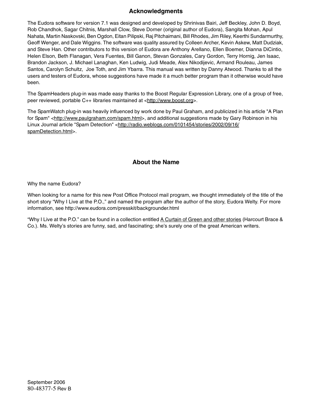#### **Acknowledgments**

The Eudora software for version 7.1 was designed and developed by Shrinivas Bairi, Jeff Beckley, John D. Boyd, Rob Chandhok, Sagar Chitnis, Marshall Clow, Steve Dorner (original author of Eudora), Sangita Mohan, Apul Nahata, Martin Naskovski, Ben Ogdon, Eitan Pilipski, Raj Pitchaimani, Bill Rhodes, Jim Riley, Keerthi Sundarmurthy, Geoff Wenger, and Dale Wiggins. The software was quality assured by Colleen Archer, Kevin Askew, Matt Dudziak, and Steve Han. Other contributors to this version of Eudora are Anthony Arellano, Ellen Boemer, Dianna DiCintio, Helen Elson, Beth Flanagan, Vera Fuentes, Bill Ganon, Stevan Gonzales, Cary Gordon, Terry Hornig, Jen Isaac, Brandon Jackson, J. Michael Lanaghan, Ken Ludwig, Judi Meade, Alex Nikodijevic, Armand Rouleau, James Santos, Carolyn Schultz, Joe Toth, and Jim Ybarra. This manual was written by Danny Atwood. Thanks to all the users and testers of Eudora, whose suggestions have made it a much better program than it otherwise would have been.

The SpamHeaders plug-in was made easy thanks to the Boost Regular Expression Library, one of a group of free, peer reviewed, portable C++ libraries maintained at <<http://www.boost.org>>.

The SpamWatch plug-in was heavily influenced by work done by Paul Graham, and publicized in his article "A Plan for Spam" [<http://www.paulgraham.com/spam.html>](http://www.paulgraham.com/spam.html), and additional suggestions made by Gary Robinson in his Linux Journal article "Spam Detection" <[http://radio.weblogs.com/0101454/stories/2002/09/16/](http://radio.weblogs.com/0101454/stories/2002/09/16/spamDetection.html) [spamDetection.html>](http://radio.weblogs.com/0101454/stories/2002/09/16/spamDetection.html).

#### **About the Name**

Why the name Eudora?

[When looking for a name for this new Post Office Protocol mail program, we thought immediately of the title of the](http://www.eudora.com/presskit/backgrounder.html)  short story "Why I Live at the P.O.," and named the program after the author of the story, Eudora Welty. For more information, see http://www.eudora.com/presskit/backgrounder.html

"Why I Live at the P.O." can be found in a collection entitled [A Curtain of Green and other stories](http://www.amazon.com/exec/obidos/ASIN/0156234920/eudorqualc/103-6388063-3731007) (Harcourt Brace & Co.). Ms. Welty's stories are funny, sad, and fascinating; she's surely one of the great American writers.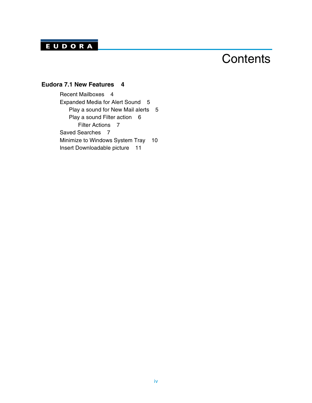### EUDORA

# **Contents**

#### **[Eudora 7.1 New Features 4](#page-4-0)**

[Recent Mailboxes 4](#page-4-1) [Expanded Media for Alert Sound 5](#page-5-0) [Play a sound for New Mail alerts 5](#page-5-1) [Play a sound Filter action 6](#page-6-0) [Filter Actions 7](#page-7-0) [Saved Searches 7](#page-7-1) [Minimize to Windows System Tray 10](#page-10-0) [Insert Downloadable picture 11](#page-11-0)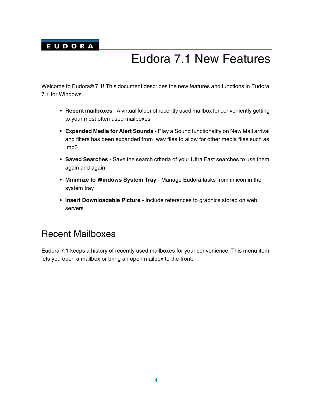### <span id="page-4-0"></span>**EUDORA**

# Eudora 7.1 New Features

Welcome to Eudora® 7.1! This document describes the new features and functions in Eudora 7.1 for Windows.

- **Recent mailboxes** A virtual folder of recently used mailbox for conveniently getting to your most often used mailboxes
- **Expanded Media for Alert Sounds** Play a Sound functionality on New Mail arrival and filters has been expanded from .wav files to allow for other media files such as .mp3
- **Saved Searches** Save the search criteria of your Ultra Fast searches to use them again and again
- **Minimize to Windows System Tray** Manage Eudora tasks from in icon in the system tray
- **Insert Downloadable Picture** Include references to graphics stored on web servers

## <span id="page-4-1"></span>Recent Mailboxes

Eudora 7.1 keeps a history of recently used mailboxes for your convenience. This menu item lets you open a mailbox or bring an open mailbox to the front.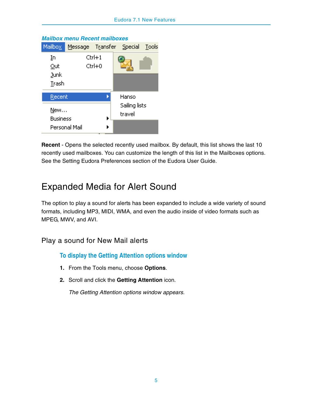| <b>Mailbox menu Recent mailboxes</b> |               |                  |                          |       |
|--------------------------------------|---------------|------------------|--------------------------|-------|
| Mailbox                              |               |                  | Message Transfer Special | Tools |
| In<br>Out<br>Junk<br>Trash           |               | Ctrl+1<br>Ctrl+0 |                          |       |
| Recent                               |               |                  | Hanso                    |       |
| New…<br><b>Business</b>              | Personal Mail | ▶                | Sailing lists<br>travel  |       |

**Recent** - Opens the selected recently used mailbox. By default, this list shows the last 10 recently used mailboxes. You can customize the length of this list in the Mailboxes options. See the Setting Eudora Preferences section of the Eudora User Guide.

## <span id="page-5-0"></span>Expanded Media for Alert Sound

The option to play a sound for alerts has been expanded to include a wide variety of sound formats, including MP3, MIDI, WMA, and even the audio inside of video formats such as MPEG, MWV, and AVI.

### <span id="page-5-1"></span>Play a sound for New Mail alerts

**To display the Getting Attention options window** 

- **1.** From the Tools menu, choose **Options**.
- **2.** Scroll and click the **Getting Attention** icon.

*The Getting Attention options window appears.*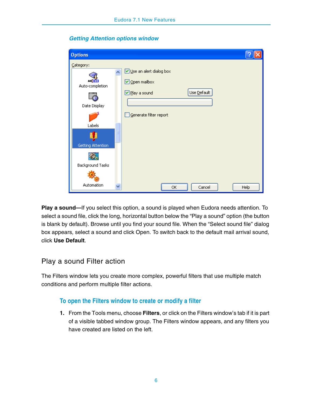| <b>Options</b>                  |                               |
|---------------------------------|-------------------------------|
| Category:                       | Use an alert dialog box       |
| <b>A</b> PDE<br>Auto-completion | Open mailbox                  |
| Date Display                    | Use Default<br>□ Play a sound |
|                                 | Generate filter report        |
| Labels                          |                               |
| Getting Attention               |                               |
| Background Tasks                |                               |
| Automation                      | Cancel<br>OK<br>Help          |

#### *Getting Attention options window*

**Play a sound—**If you select this option, a sound is played when Eudora needs attention. To select a sound file, click the long, horizontal button below the "Play a sound" option (the button is blank by default). Browse until you find your sound file. When the "Select sound file" dialog box appears, select a sound and click Open. To switch back to the default mail arrival sound, click **Use Default**.

#### <span id="page-6-0"></span>Play a sound Filter action

The Filters window lets you create more complex, powerful filters that use multiple match conditions and perform multiple filter actions.

#### **To open the Filters window to create or modify a filter**

**1.** From the Tools menu, choose **Filters**, or click on the Filters window's tab if it is part of a visible tabbed window group. The Filters window appears, and any filters you have created are listed on the left.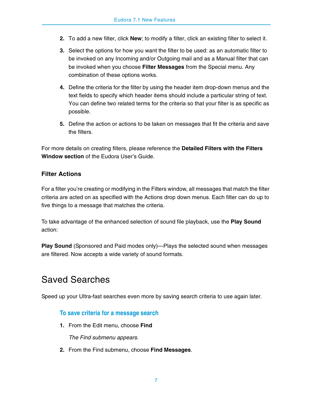- **2.** To add a new filter, click **New**; to modify a filter, click an existing filter to select it.
- **3.** Select the options for how you want the filter to be used: as an automatic filter to be invoked on any Incoming and/or Outgoing mail and as a Manual filter that can be invoked when you choose **Filter Messages** from the Special menu. Any combination of these options works.
- **4.** Define the criteria for the filter by using the header item drop-down menus and the text fields to specify which header items should include a particular string of text. You can define two related terms for the criteria so that your filter is as specific as possible.
- **5.** Define the action or actions to be taken on messages that fit the criteria and save the filters.

For more details on creating filters, please reference the **Detailed Filters with the Filters Window section** of the Eudora User's Guide.

#### <span id="page-7-0"></span>**Filter Actions**

For a filter you're creating or modifying in the Filters window, all messages that match the filter criteria are acted on as specified with the Actions drop down menus. Each filter can do up to five things to a message that matches the criteria.

To take advantage of the enhanced selection of sound file playback, use the **Play Sound** action:

**Play Sound** (Sponsored and Paid modes only)—Plays the selected sound when messages are filtered. Now accepts a wide variety of sound formats.

# <span id="page-7-1"></span>Saved Searches

Speed up your Ultra-fast searches even more by saving search criteria to use again later.

#### **To save criteria for a message search**

**1.** From the Edit menu, choose **Find** 

*The Find submenu appears.*

**2.** From the Find submenu, choose **Find Messages**.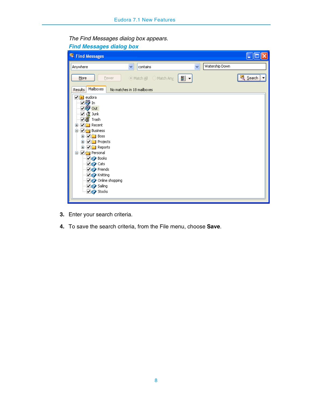| <b>Find Messages dialog box</b> |                            |                       |  |
|---------------------------------|----------------------------|-----------------------|--|
|                                 |                            |                       |  |
| v<br>contains                   | v                          |                       |  |
| ⊙ Match <u>A</u> ll © Match Any | 明一                         | थ् <u>S</u> earch   ▼ |  |
|                                 |                            |                       |  |
|                                 |                            |                       |  |
|                                 | No matches in 18 mailboxes | Watership Down        |  |

#### *The Find Messages dialog box appears.*

- **3.** Enter your search criteria.
- **4.** To save the search criteria, from the File menu, choose **Save**.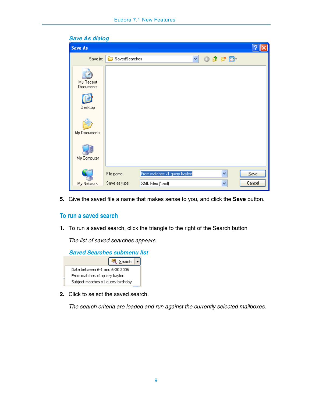| <b>Save As</b>         |                    |                              |   |                        |        |
|------------------------|--------------------|------------------------------|---|------------------------|--------|
| Save in:               | SavedSearches<br>冖 |                              | Y | $0$ $0$ $0$ $0$ $\Box$ |        |
| My Recent<br>Documents |                    |                              |   |                        |        |
| Desktop                |                    |                              |   |                        |        |
| My Documents           |                    |                              |   |                        |        |
| My Computer            |                    |                              |   |                        |        |
|                        | File name:         | From matches x1 query kaylee |   | v                      | Save   |
| My Network             | Save as type:      | XML Files (".xml)            |   | Ÿ                      | Cancel |

*Save As dialog*

**5.** Give the saved file a name that makes sense to you, and click the **Save** button.

#### **To run a saved search**

**1.** To run a saved search, click the triangle to the right of the Search button

*The list of saved searches appears*



**2.** Click to select the saved search.

*The search criteria are loaded and run against the currently selected mailboxes.*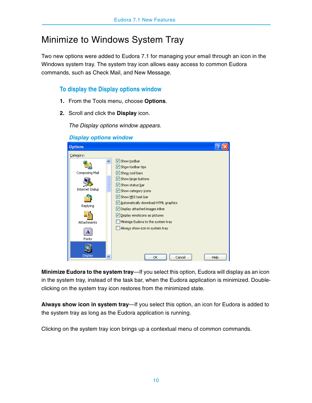## <span id="page-10-0"></span>Minimize to Windows System Tray

Two new options were added to Eudora 7.1 for managing your email through an icon in the Windows system tray. The system tray icon allows easy access to common Eudora commands, such as Check Mail, and New Message.

#### **To display the Display options window**

- **1.** From the Tools menu, choose **Options**.
- **2.** Scroll and click the **Display** icon.

*The Display options window appears.*

| <b>Options</b>         |                                                                        |  |
|------------------------|------------------------------------------------------------------------|--|
| Category:              |                                                                        |  |
|                        | Show toolbar<br>Show toolbar tips                                      |  |
| Composing Mail         | Show cool bars                                                         |  |
|                        | Show large buttons<br>V Show status bar                                |  |
| <b>Internet Dialup</b> | Show category icons                                                    |  |
|                        | Show MDI task bar                                                      |  |
| Replying               | Automatically download HTML graphics<br>Display attached images inline |  |
|                        | Display emoticons as pictures                                          |  |
| <b>Attachments</b>     | Minimize Eudora to the system tray                                     |  |
|                        | Always show icon in system tray                                        |  |
| Fonts                  |                                                                        |  |
|                        |                                                                        |  |
| Display<br>v           | OK<br>Cancel<br>Help                                                   |  |

#### *Display options window*

**Minimize Eudora to the system tray**—If you select this option, Eudora will display as an icon in the system tray, instead of the task bar, when the Eudora application is minimized. Doubleclicking on the system tray icon restores from the minimized state.

**Always show icon in system tray**—If you select this option, an icon for Eudora is added to the system tray as long as the Eudora application is running.

Clicking on the system tray icon brings up a contextual menu of common commands.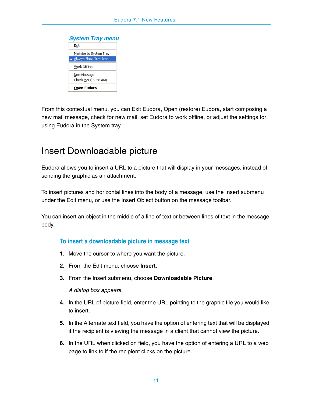

From this contextual menu, you can Exit Eudora, Open (restore) Eudora, start composing a new mail message, check for new mail, set Eudora to work offline, or adjust the settings for using Eudora in the System tray.

## <span id="page-11-0"></span>Insert Downloadable picture

Eudora allows you to insert a URL to a picture that will display in your messages, instead of sending the graphic as an attachment.

To insert pictures and horizontal lines into the body of a message, use the Insert submenu under the Edit menu, or use the Insert Object button on the message toolbar.

You can insert an object in the middle of a line of text or between lines of text in the message body.

#### **To insert a downloadable picture in message text**

- **1.** Move the cursor to where you want the picture.
- **2.** From the Edit menu, choose **Insert**.
- **3.** From the Insert submenu, choose **Downloadable Picture**.

*A dialog box appears.*

- **4.** In the URL of picture field, enter the URL pointing to the graphic file you would like to insert.
- **5.** In the Alternate text field, you have the option of entering text that will be displayed if the recipient is viewing the message in a client that cannot view the picture.
- **6.** In the URL when clicked on field, you have the option of entering a URL to a web page to link to if the recipient clicks on the picture.